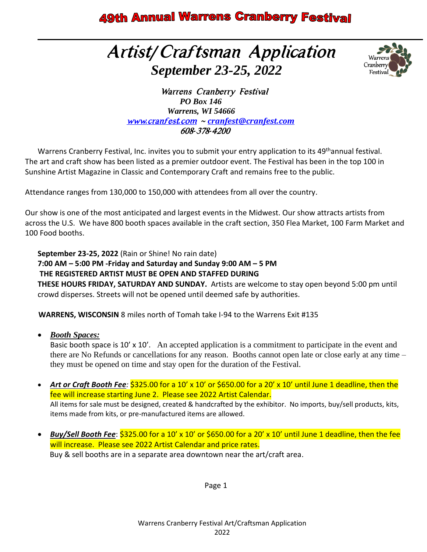# Artist*/*Craftsman Application  *September 23-25, 2022*



 Warrens Cranberry Festival  *PO Box 146 Warrens, WI 54666* www*.*[cranfest](http://www.cranfest.com/)*.*com *[~ cranfest@cranfest.com](mailto:cranfest@cranfest.com)* 608*-*378*-*4200

Warrens Cranberry Festival, Inc. invites you to submit your entry application to its 49<sup>th</sup>annual festival. The art and craft show has been listed as a premier outdoor event. The Festival has been in the top 100 in Sunshine Artist Magazine in Classic and Contemporary Craft and remains free to the public.

Attendance ranges from 130,000 to 150,000 with attendees from all over the country.

Our show is one of the most anticipated and largest events in the Midwest. Our show attracts artists from across the U.S. We have 800 booth spaces available in the craft section, 350 Flea Market, 100 Farm Market and 100 Food booths.

**September 23-25, 2022** (Rain or Shine! No rain date) **7:00 AM – 5:00 PM -Friday and Saturday and Sunday 9:00 AM – 5 PM**

**THE REGISTERED ARTIST MUST BE OPEN AND STAFFED DURING**

**THESE HOURS FRIDAY, SATURDAY AND SUNDAY.** Artists are welcome to stay open beyond 5:00 pm until crowd disperses. Streets will not be opened until deemed safe by authorities.

 **WARRENS, WISCONSIN** 8 miles north of Tomah take I-94 to the Warrens Exit #135

• *Booth Spaces:*

Basic booth space is 10' x 10'. An accepted application is a commitment to participate in the event and there are No Refunds or cancellations for any reason. Booths cannot open late or close early at any time – they must be opened on time and stay open for the duration of the Festival.

- *Art or Craft Booth Fee:* \$325.00 for a 10' x 10' or \$650.00 for a 20' x 10' until June 1 deadline, then the fee will increase starting June 2. Please see 2022 Artist Calendar. All items for sale must be designed, created & handcrafted by the exhibitor. No imports, buy/sell products, kits, items made from kits, or pre-manufactured items are allowed.
- *Buy/Sell Booth Fee*: \$325.00 for a 10' x 10' or \$650.00 for a 20' x 10' until June 1 deadline, then the fee will increase. Please see 2022 Artist Calendar and price rates. Buy & sell booths are in a separate area downtown near the art/craft area.

Page 1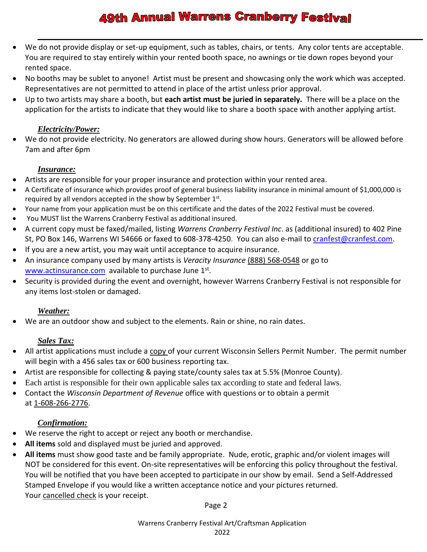- We do not provide display or set-up equipment, such as tables, chairs, or tents. Any color tents are acceptable. You are required to stay entirely within your rented booth space, no awnings or tie down ropes beyond your rented space.
- No booths may be sublet to anyone! Artist must be present and showcasing only the work which was accepted. Representatives are not permitted to attend in place of the artist unless prior approval.
- Up to two artists may share a booth, but **each artist must be juried in separately.** There will be a place on the application for the artists to indicate that they would like to share a booth space with another applying artist.

#### *Electricity/Power:*

We do not provide electricity. No generators are allowed during show hours. Generators will be allowed before 7am and after 6pm

#### *Insurance:*

- Artists are responsible for your proper insurance and protection within your rented area.
- A Certificate of insurance which provides proof of general business liability insurance in minimal amount of \$1,000,000 is required by all vendors accepted in the show by September  $1<sup>st</sup>$ .
- Your name from your application must be on this certificate and the dates of the 2022 Festival must be covered.
- You MUST list the Warrens Cranberry Festival as additional insured.
- A current copy must be faxed/mailed, listing *Warrens Cranberry Festival Inc*. as (additional insured) to 402 Pine St, PO Box 146, Warrens WI 54666 or faxed to 608-378-4250. You can also e-mail to [cranfest@cranfest.com.](mailto:cranfest@cranfest.com)
- If you are a new artist, you may wait until acceptance to acquire insurance.
- An insurance company used by many artists is *Veracity Insurance* (888) 568-0548 or go to [www.actinsurance.com](http://www.actinsurance.com/) available to purchase June 1<sup>st</sup>.
- Security is provided during the event and overnight, however Warrens Cranberry Festival is not responsible for any items lost-stolen or damaged.

### *Weather:*

• We are an outdoor show and subject to the elements. Rain or shine, no rain dates.

### *Sales Tax:*

- All artist applications must include a copy of your current Wisconsin Sellers Permit Number. The permit number will begin with a 456 sales tax or 600 business reporting tax.
- Artist are responsible for collecting & paying state/county sales tax at 5.5% (Monroe County).
- Each artist is responsible for their own applicable sales tax according to state and federal laws.
- Contact the *Wisconsin Department of Revenue* office with questions or to obtain a permit at 1-608-266-2776.

### *Confirmation:*

- We reserve the right to accept or reject any booth or merchandise.
- **All items** sold and displayed must be juried and approved.
- **All items** must show good taste and be family appropriate. Nude, erotic, graphic and/or violent images will NOT be considered for this event. On-site representatives will be enforcing this policy throughout the festival. You will be notified that you have been accepted to participate in our show by email. Send a Self-Addressed Stamped Envelope if you would like a written acceptance notice and your pictures returned. Your cancelled check is your receipt.

Page 2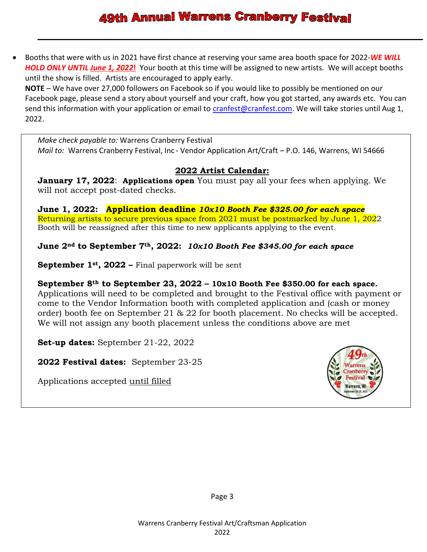• Booths that were with us in 2021 have first chance at reserving your same area booth space for 2022-*WE WILL HOLD ONLY UNTIL June 1, 2022***!** Your booth at this time will be assigned to new artists. We will accept booths until the show is filled. Artists are encouraged to apply early.

**NOTE** – We have over 27,000 followers on Facebook so if you would like to possibly be mentioned on our Facebook page, please send a story about yourself and your craft, how you got started, any awards etc. You can send this information with your application or email to [cranfest@cranfest.com.](mailto:cranfest@cranfest.com) We will take stories until Aug 1, 2022.

*Make check payable to:* Warrens Cranberry Festival *Mail to:* Warrens Cranberry Festival, Inc - Vendor Application Art/Craft – P.O. 146, Warrens, WI 54666

### **2022 Artist Calendar:**

**January 17, 2022**: **Applications open** You must pay all your fees when applying. We will not accept post-dated checks.

**June 1, 2022: Application deadline** *10x10 Booth Fee \$325.00 for each space* Returning artists to secure previous space from 2021 must be postmarked by June 1, 2022 Booth will be reassigned after this time to new applicants applying to the event.

**June 2nd to September 7th, 2022:** *10x10 Booth Fee \$345.00 for each space*

**September 1st, 2022 –** Final paperwork will be sent

**September 8th to September 23, 2022 – 10x10 Booth Fee \$350.00 for each space.** 

Applications will need to be completed and brought to the Festival office with payment or come to the Vendor Information booth with completed application and (cash or money order) booth fee on September 21 & 22 for booth placement. No checks will be accepted. We will not assign any booth placement unless the conditions above are met

**Set-up dates:** September 21-22, 2022

**2022 Festival dates:** September 23-25

Applications accepted until filled

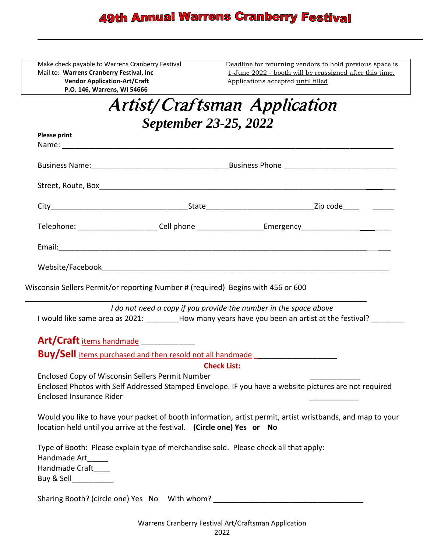**Vendor Application-Art/Craft** Applications accepted until filled **P.O. 146, Warrens, WI 54666**

Make check payable to Warrens Cranberry Festival Deadline for returning vendors to hold previous space is<br>Mail to: Warrens Cranberry Festival, Inc 1-June 2022 - booth will be reassigned after this time. 1-June 2022 - booth will be reassigned after this time.

| <b>Artist/Craftsman Application</b> |  |
|-------------------------------------|--|
| <b>September 23-25, 2022</b>        |  |

| <b>Please print</b>                                                                 |                                                                                      |                                                                                                                                                                              |  |  |  |
|-------------------------------------------------------------------------------------|--------------------------------------------------------------------------------------|------------------------------------------------------------------------------------------------------------------------------------------------------------------------------|--|--|--|
|                                                                                     |                                                                                      |                                                                                                                                                                              |  |  |  |
|                                                                                     |                                                                                      |                                                                                                                                                                              |  |  |  |
|                                                                                     |                                                                                      |                                                                                                                                                                              |  |  |  |
|                                                                                     |                                                                                      | Telephone: _______________________Cell phone _____________________Emergency_________________________                                                                         |  |  |  |
|                                                                                     |                                                                                      |                                                                                                                                                                              |  |  |  |
|                                                                                     |                                                                                      |                                                                                                                                                                              |  |  |  |
| Wisconsin Sellers Permit/or reporting Number # (required) Begins with 456 or 600    |                                                                                      |                                                                                                                                                                              |  |  |  |
|                                                                                     |                                                                                      | I do not need a copy if you provide the number in the space above<br>I would like same area as 2021: ________How many years have you been an artist at the festival? _______ |  |  |  |
| Art/Craft items handmade                                                            |                                                                                      |                                                                                                                                                                              |  |  |  |
|                                                                                     |                                                                                      | Buy/Sell items purchased and then resold not all handmade ______________________                                                                                             |  |  |  |
|                                                                                     | <b>Check List:</b>                                                                   |                                                                                                                                                                              |  |  |  |
| Enclosed Copy of Wisconsin Sellers Permit Number<br><b>Enclosed Insurance Rider</b> |                                                                                      | Enclosed Photos with Self Addressed Stamped Envelope. IF you have a website pictures are not required                                                                        |  |  |  |
|                                                                                     | location held until you arrive at the festival. (Circle one) Yes or No               | Would you like to have your packet of booth information, artist permit, artist wristbands, and map to your                                                                   |  |  |  |
| Handmade Art_____<br>Handmade Craft____<br>Buy & Sell_____________                  | Type of Booth: Please explain type of merchandise sold. Please check all that apply: |                                                                                                                                                                              |  |  |  |

Sharing Booth? (circle one) Yes No With whom?